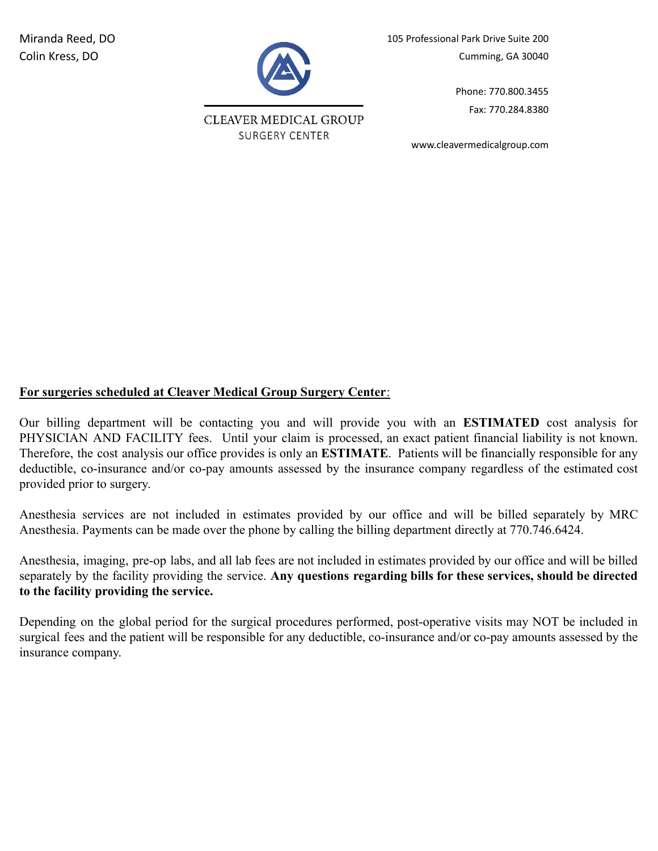

**CLEAVER MEDICAL GROUP SURGERY CENTER** 

Miranda Reed, DO 105 Professional Park Drive Suite 200 Colin Kress, DO Cumming, GA 30040

> Phone: 770.800.3455 Fax: 770.284.8380

www.cleavermedicalgroup.com

# **For surgeries scheduled at Cleaver Medical Group Surgery Center**:

Our billing department will be contacting you and will provide you with an **ESTIMATED** cost analysis for PHYSICIAN AND FACILITY fees. Until your claim is processed, an exact patient financial liability is not known. Therefore, the cost analysis our office provides is only an **ESTIMATE**. Patients will be financially responsible for any deductible, co-insurance and/or co-pay amounts assessed by the insurance company regardless of the estimated cost provided prior to surgery.

Anesthesia services are not included in estimates provided by our office and will be billed separately by MRC Anesthesia. Payments can be made over the phone by calling the billing department directly at 770.746.6424.

Anesthesia, imaging, pre-op labs, and all lab fees are not included in estimates provided by our office and will be billed separately by the facility providing the service. **Any questions regarding bills for these services, should be directed to the facility providing the service.**

Depending on the global period for the surgical procedures performed, post-operative visits may NOT be included in surgical fees and the patient will be responsible for any deductible, co-insurance and/or co-pay amounts assessed by the insurance company.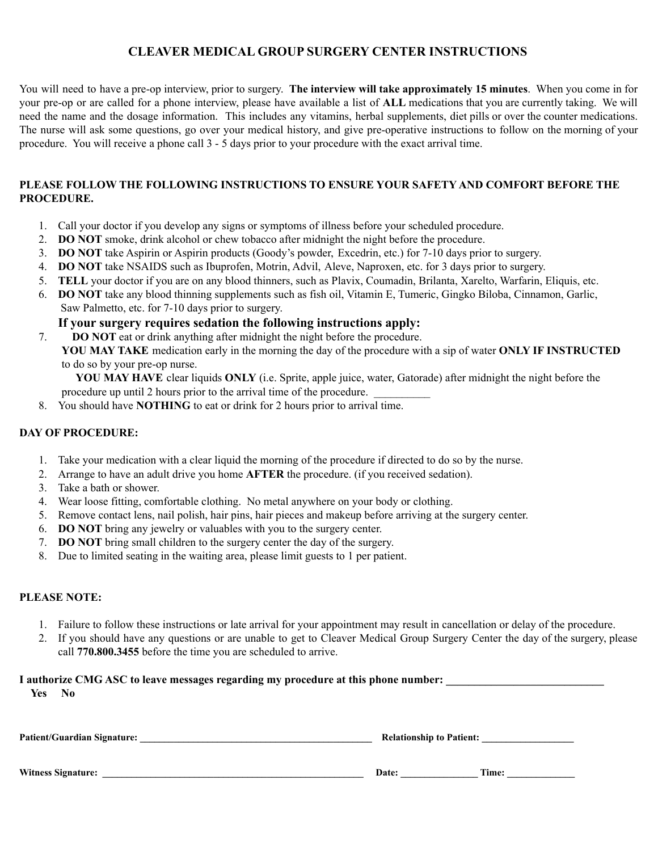# **CLEAVER MEDICAL GROUP SURGERY CENTER INSTRUCTIONS**

You will need to have a pre-op interview, prior to surgery. **The interview will take approximately 15 minutes**. When you come in for your pre-op or are called for a phone interview, please have available a list of **ALL** medications that you are currently taking. We will need the name and the dosage information. This includes any vitamins, herbal supplements, diet pills or over the counter medications. The nurse will ask some questions, go over your medical history, and give pre-operative instructions to follow on the morning of your procedure. You will receive a phone call 3 - 5 days prior to your procedure with the exact arrival time.

## **PLEASE FOLLOW THE FOLLOWING INSTRUCTIONS TO ENSURE YOUR SAFETY AND COMFORT BEFORE THE PROCEDURE.**

- 1. Call your doctor if you develop any signs or symptoms of illness before your scheduled procedure.
- 2. **DO NOT** smoke, drink alcohol or chew tobacco after midnight the night before the procedure.
- 3. **DO NOT** take Aspirin or Aspirin products (Goody's powder, Excedrin, etc.) for 7-10 days prior to surgery.
- 4. **DO NOT** take NSAIDS such as Ibuprofen, Motrin, Advil, Aleve, Naproxen, etc. for 3 days prior to surgery.
- 5. **TELL** your doctor if you are on any blood thinners, such as Plavix, Coumadin, Brilanta, Xarelto, Warfarin, Eliquis, etc.
- 6. **DO NOT** take any blood thinning supplements such as fish oil, Vitamin E, Tumeric, Gingko Biloba, Cinnamon, Garlic, Saw Palmetto, etc. for 7-10 days prior to surgery.

**If your surgery requires sedation the following instructions apply:**

- 7. **DO NOT** eat or drink anything after midnight the night before the procedure.
	- **YOU MAY TAKE** medication early in the morning the day of the procedure with a sip of water **ONLY IF INSTRUCTED** to do so by your pre-op nurse.

 **YOU MAY HAVE** clear liquids **ONLY** (i.e. Sprite, apple juice, water, Gatorade) after midnight the night before the procedure up until 2 hours prior to the arrival time of the procedure.

8. You should have **NOTHING** to eat or drink for 2 hours prior to arrival time.

## **DAY OF PROCEDURE:**

- 1. Take your medication with a clear liquid the morning of the procedure if directed to do so by the nurse.
- 2. Arrange to have an adult drive you home **AFTER** the procedure. (if you received sedation).
- 3. Take a bath or shower.
- 4. Wear loose fitting, comfortable clothing. No metal anywhere on your body or clothing.
- 5. Remove contact lens, nail polish, hair pins, hair pieces and makeup before arriving at the surgery center.
- 6. **DO NOT** bring any jewelry or valuables with you to the surgery center.
- 7. **DO NOT** bring small children to the surgery center the day of the surgery.
- 8. Due to limited seating in the waiting area, please limit guests to 1 per patient.

## **PLEASE NOTE:**

- 1. Failure to follow these instructions or late arrival for your appointment may result in cancellation or delay of the procedure.
- 2. If you should have any questions or are unable to get to Cleaver Medical Group Surgery Center the day of the surgery, please call **770.800.3455** before the time you are scheduled to arrive.

## **I** authorize CMG ASC to leave messages regarding my procedure at this phone number:

**Yes No**

| <b>Patient/Guardian Signature:</b> |       | <b>Relationship to Patient:</b> |  |  |
|------------------------------------|-------|---------------------------------|--|--|
|                                    |       |                                 |  |  |
| <b>Witness Signature:</b>          | Date: | Time:                           |  |  |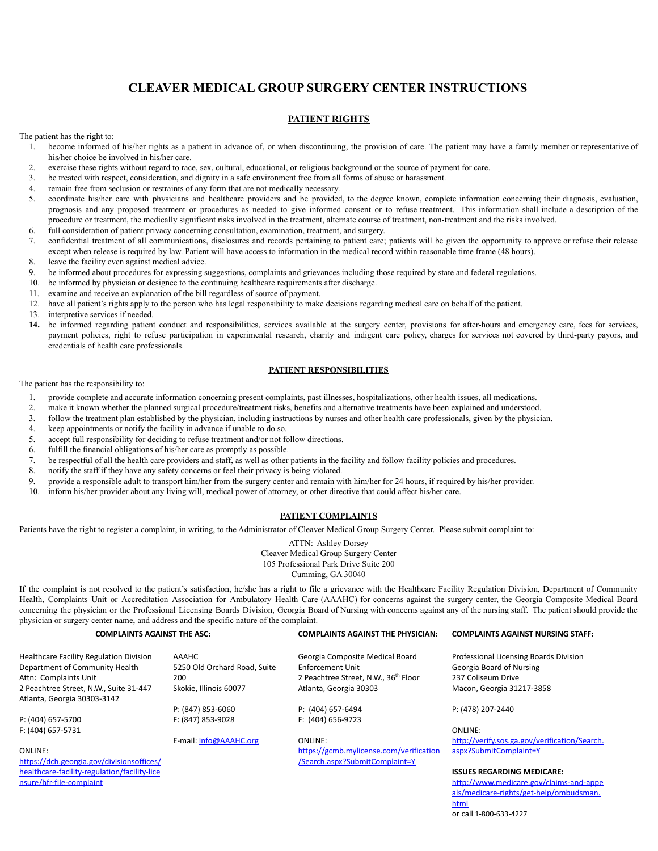# **CLEAVER MEDICAL GROUP SURGERY CENTER INSTRUCTIONS**

#### **PATIENT RIGHTS**

The patient has the right to:

- 1. become informed of his/her rights as a patient in advance of, or when discontinuing, the provision of care. The patient may have a family member or representative of his/her choice be involved in his/her care.
- 2. exercise these rights without regard to race, sex, cultural, educational, or religious background or the source of payment for care.
- 3. be treated with respect, consideration, and dignity in a safe environment free from all forms of abuse or harassment.
- 4. remain free from seclusion or restraints of any form that are not medically necessary.
- 5. coordinate his/her care with physicians and healthcare providers and be provided, to the degree known, complete information concerning their diagnosis, evaluation, prognosis and any proposed treatment or procedures as needed to give informed consent or to refuse treatment. This information shall include a description of the procedure or treatment, the medically significant risks involved in the treatment, alternate course of treatment, non-treatment and the risks involved.
- 6. full consideration of patient privacy concerning consultation, examination, treatment, and surgery.
- 7. confidential treatment of all communications, disclosures and records pertaining to patient care; patients will be given the opportunity to approve or refuse their release except when release is required by law. Patient will have access to information in the medical record within reasonable time frame (48 hours).
- 8. leave the facility even against medical advice.
- 9. be informed about procedures for expressing suggestions, complaints and grievances including those required by state and federal regulations.
- 10. be informed by physician or designee to the continuing healthcare requirements after discharge.
- 11. examine and receive an explanation of the bill regardless of source of payment.
- 12. have all patient's rights apply to the person who has legal responsibility to make decisions regarding medical care on behalf of the patient.
- 13. interpretive services if needed.
- **14.** be informed regarding patient conduct and responsibilities, services available at the surgery center, provisions for after-hours and emergency care, fees for services, payment policies, right to refuse participation in experimental research, charity and indigent care policy, charges for services not covered by third-party payors, and credentials of health care professionals.

#### **PATIENT RESPONSIBILITIES**

The patient has the responsibility to:

- 1. provide complete and accurate information concerning present complaints, past illnesses, hospitalizations, other health issues, all medications.
- 2. make it known whether the planned surgical procedure/treatment risks, benefits and alternative treatments have been explained and understood.
- 3. follow the treatment plan established by the physician, including instructions by nurses and other health care professionals, given by the physician.
- 4. keep appointments or notify the facility in advance if unable to do so.
- 5. accept full responsibility for deciding to refuse treatment and/or not follow directions.
- 6. fulfill the financial obligations of his/her care as promptly as possible.
- 7. be respectful of all the health care providers and staff, as well as other patients in the facility and follow facility policies and procedures.
- 8. notify the staff if they have any safety concerns or feel their privacy is being violated.
- 9. provide a responsible adult to transport him/her from the surgery center and remain with him/her for 24 hours, if required by his/her provider.
- 10. inform his/her provider about any living will, medical power of attorney, or other directive that could affect his/her care.

#### **PATIENT COMPLAINTS**

Patients have the right to register a complaint, in writing, to the Administrator of Cleaver Medical Group Surgery Center. Please submit complaint to:

ATTN: Ashley Dorsey Cleaver Medical Group Surgery Center 105 Professional Park Drive Suite 200 Cumming, GA 30040

If the complaint is not resolved to the patient's satisfaction, he/she has a right to file a grievance with the Healthcare Facility Regulation Division, Department of Community Health, Complaints Unit or Accreditation Association for Ambulatory Health Care (AAAHC) for concerns against the surgery center, the Georgia Composite Medical Board concerning the physician or the Professional Licensing Boards Division, Georgia Board of Nursing with concerns against any of the nursing staff. The patient should provide the physician or surgery center name, and address and the specific nature of the complaint.

| <b>COMPLAINTS AGAINST THE ASC:</b>             |                              | <b>COMPLAINTS AGAINST THE PHYSICIAN:</b> | <b>COMPLAINTS AGAINST NURSING STAFF:</b>      |  |
|------------------------------------------------|------------------------------|------------------------------------------|-----------------------------------------------|--|
| <b>Healthcare Facility Regulation Division</b> | AAAHC                        | Georgia Composite Medical Board          | Professional Licensing Boards Division        |  |
| Department of Community Health                 | 5250 Old Orchard Road, Suite | Enforcement Unit                         | Georgia Board of Nursing                      |  |
| Attn: Complaints Unit                          | 200                          | 2 Peachtree Street, N.W., 36th Floor     | 237 Coliseum Drive                            |  |
| 2 Peachtree Street, N.W., Suite 31-447         | Skokie, Illinois 60077       | Atlanta, Georgia 30303                   | Macon, Georgia 31217-3858                     |  |
| Atlanta, Georgia 30303-3142                    |                              |                                          |                                               |  |
|                                                | P: (847) 853-6060            | P: (404) 657-6494                        | P: (478) 207-2440                             |  |
| P: (404) 657-5700                              | F: (847) 853-9028            | F: (404) 656-9723                        |                                               |  |
| F: (404) 657-5731                              |                              |                                          | ONLINE:                                       |  |
|                                                | E-mail: info@AAAHC.org       | ONLINE:                                  | http://verify.sos.ga.gov/verification/Search. |  |
| <b>ONLINE:</b>                                 |                              | https://gcmb.mylicense.com/verification  | aspx?SubmitComplaint=Y                        |  |

[https://dch.georgia.gov/divisionsoffices/](https://dch.georgia.gov/divisionsoffices/healthcare-facility-regulation/facility-licensure/hfr-file-complaint) [healthcare-facility-regulation/facility-lice](https://dch.georgia.gov/divisionsoffices/healthcare-facility-regulation/facility-licensure/hfr-file-complaint) [nsure/hfr-file-complaint](https://dch.georgia.gov/divisionsoffices/healthcare-facility-regulation/facility-licensure/hfr-file-complaint)

[https://gcmb.mylicense.com/verification](https://gcmb.mylicense.com/verification/Search.aspx?SubmitComplaint=Y) [/Search.aspx?SubmitComplaint=Y](https://gcmb.mylicense.com/verification/Search.aspx?SubmitComplaint=Y)

[aspx?SubmitComplaint=Y](http://verify.sos.ga.gov/verification/Search.aspx?SubmitComplaint=Y)

#### **ISSUES REGARDING MEDICARE:**

[http://www.medicare.gov/claims-and-appe](http://www.medicare.gov/claims-and-appeals/medicare-rights/get-help/ombudsman.html) [als/medicare-rights/get-help/ombudsman.](http://www.medicare.gov/claims-and-appeals/medicare-rights/get-help/ombudsman.html) [html](http://www.medicare.gov/claims-and-appeals/medicare-rights/get-help/ombudsman.html) or call 1-800-633-4227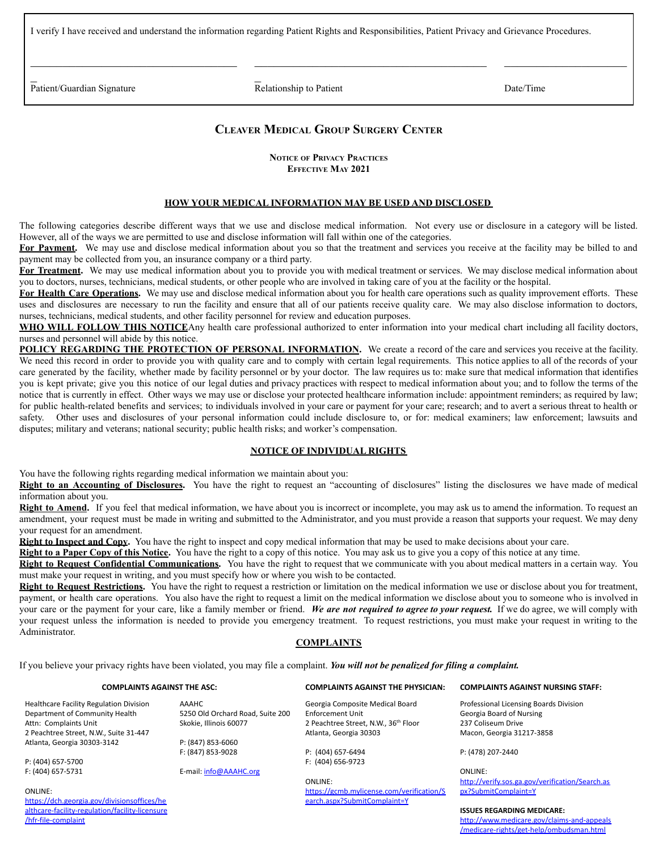I verify I have received and understand the information regarding Patient Rights and Responsibilities, Patient Privacy and Grievance Procedures.

Patient/Guardian Signature 2012 12:30 Relationship to Patient 2012 12:30 Patient Date/Time

 $\overline{a}$ 

 $\mathcal{L}_\text{max}$  , where  $\mathcal{L}_\text{max}$  and  $\mathcal{L}_\text{max}$  and  $\mathcal{L}_\text{max}$ 

 $\overline{a}$ 

 $\mathcal{L}_\text{max}$  , where  $\mathcal{L}_\text{max}$ 

## **CLEAVER MEDICAL GROUP SURGERY CENTER**

 $\mathcal{L}_\text{max}$  , where  $\mathcal{L}_\text{max}$  is the set of the set of the set of the set of the set of the set of the set of the set of the set of the set of the set of the set of the set of the set of the set of the set of the se

**NOTICE OF PRIVACY PRACTICES EFFECTIVE MAY 2021**

#### **HOW YOUR MEDICAL INFORMATION MAY BE USED AND DISCLOSED**

The following categories describe different ways that we use and disclose medical information. Not every use or disclosure in a category will be listed. However, all of the ways we are permitted to use and disclose information will fall within one of the categories.

For Payment. We may use and disclose medical information about you so that the treatment and services you receive at the facility may be billed to and payment may be collected from you, an insurance company or a third party.

**For Treatment.** We may use medical information about you to provide you with medical treatment or services. We may disclose medical information about you to doctors, nurses, technicians, medical students, or other people who are involved in taking care of you at the facility or the hospital.

**For Health Care Operations.** We may use and disclose medical information about you for health care operations such as quality improvement efforts. These uses and disclosures are necessary to run the facility and ensure that all of our patients receive quality care. We may also disclose information to doctors, nurses, technicians, medical students, and other facility personnel for review and education purposes.

**WHO WILL FOLLOW THIS NOTICE**Any health care professional authorized to enter information into your medical chart including all facility doctors, nurses and personnel will abide by this notice.

**POLICY REGARDING THE PROTECTION OF PERSONAL INFORMATION.** We create a record of the care and services you receive at the facility. We need this record in order to provide you with quality care and to comply with certain legal requirements. This notice applies to all of the records of your care generated by the facility, whether made by facility personnel or by your doctor. The law requires us to: make sure that medical information that identifies you is kept private; give you this notice of our legal duties and privacy practices with respect to medical information about you; and to follow the terms of the notice that is currently in effect. Other ways we may use or disclose your protected healthcare information include: appointment reminders; as required by law; for public health-related benefits and services; to individuals involved in your care or payment for your care; research; and to avert a serious threat to health or safety. Other uses and disclosures of your personal information could include disclosure to, or for: medical examiners; law enforcement; lawsuits and disputes; military and veterans; national security; public health risks; and worker's compensation.

#### **NOTICE OF INDIVIDUAL RIGHTS**

You have the following rights regarding medical information we maintain about you:

**Right to an Accounting of Disclosures.** You have the right to request an "accounting of disclosures" listing the disclosures we have made of medical information about you.

**Right to Amend.** If you feel that medical information, we have about you is incorrect or incomplete, you may ask us to amend the information. To request an amendment, your request must be made in writing and submitted to the Administrator, and you must provide a reason that supports your request. We may deny your request for an amendment.

**Right to Inspect and Copy.** You have the right to inspect and copy medical information that may be used to make decisions about your care.

**Right to a Paper Copy of this Notice.** You have the right to a copy of this notice. You may ask us to give you a copy of this notice at any time.

**Right to Request Confidential Communications.** You have the right to request that we communicate with you about medical matters in a certain way. You must make your request in writing, and you must specify how or where you wish to be contacted.

**Right to Request Restrictions.** You have the right to request a restriction or limitation on the medical information we use or disclose about you for treatment, payment, or health care operations. You also have the right to request a limit on the medical information we disclose about you to someone who is involved in your care or the payment for your care, like a family member or friend. *We are not required to agree to your request.* If we do agree, we will comply with your request unless the information is needed to provide you emergency treatment. To request restrictions, you must make your request in writing to the Administrator.

### **COMPLAINTS**

If you believe your privacy rights have been violated, you may file a complaint. *You will not be penalized for filing a complaint.*

#### **COMPLAINTS AGAINST THE ASC: COMPLAINTS AGAINST THE PHYSICIAN: COMPLAINTS AGAINST NURSING STAFF:**

AAAHC

F: (847) 853-9028

E-mail: [info@AAAHC.org](mailto:info@AAAHC.org)

#### Healthcare Facility Regulation Division Department of Community Health Attn: Complaints Unit 2 Peachtree Street, N.W., Suite 31-447 Atlanta, Georgia 30303-3142

P: (404) 657-5700 F: (404) 657-5731

[/hfr-file-complaint](https://dch.georgia.gov/divisionsoffices/healthcare-facility-regulation/facility-licensure/hfr-file-complaint)

ONLINE:

[https://dch.georgia.gov/divisionsoffices/he](https://dch.georgia.gov/divisionsoffices/healthcare-facility-regulation/facility-licensure/hfr-file-complaint) [althcare-facility-regulation/facility-licensure](https://dch.georgia.gov/divisionsoffices/healthcare-facility-regulation/facility-licensure/hfr-file-complaint)

5250 Old Orchard Road, Suite 200 Skokie, Illinois 60077 P: (847) 853-6060 Georgia Composite Medical Board Enforcement Unit 2 Peachtree Street, N.W., 36<sup>th</sup> Floor Atlanta, Georgia 30303

> P: (404) 657-6494 F: (404) 656-9723

ONLINE:

[https://gcmb.mylicense.com/verification/S](https://gcmb.mylicense.com/verification/Search.aspx?SubmitComplaint=Y) [earch.aspx?SubmitComplaint=Y](https://gcmb.mylicense.com/verification/Search.aspx?SubmitComplaint=Y)

Professional Licensing Boards Division Georgia Board of Nursing 237 Coliseum Drive Macon, Georgia 31217-3858

P: (478) 207-2440

ONLINE: [http://verify.sos.ga.gov/verification/Search.as](http://verify.sos.ga.gov/verification/Search.aspx?SubmitComplaint=Y) [px?SubmitComplaint=Y](http://verify.sos.ga.gov/verification/Search.aspx?SubmitComplaint=Y)

**ISSUES REGARDING MEDICARE:** [http://www.medicare.gov/claims-and-appeals](http://www.medicare.gov/claims-and-appeals/medicare-rights/get-help/ombudsman.html) [/medicare-rights/get-help/ombudsman.html](http://www.medicare.gov/claims-and-appeals/medicare-rights/get-help/ombudsman.html)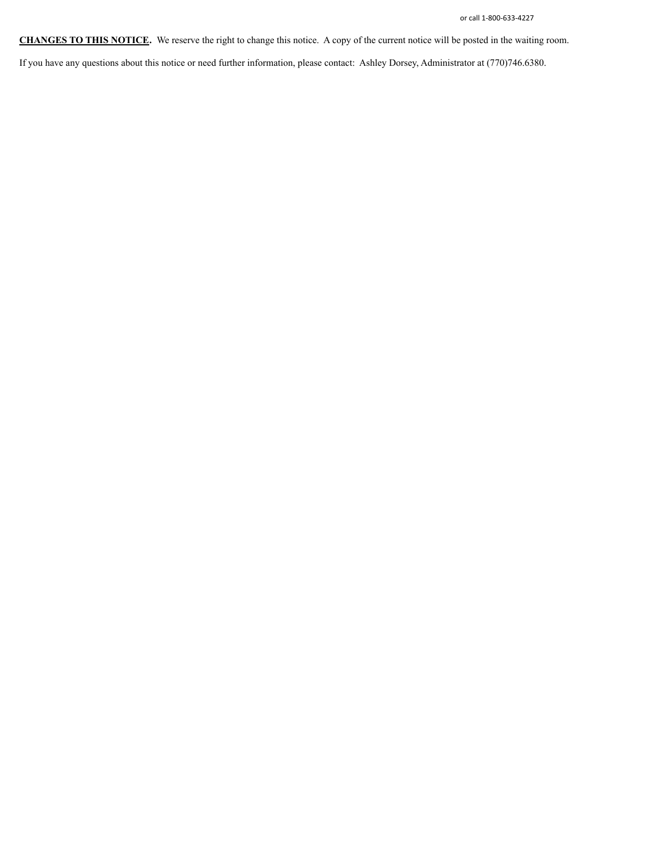**CHANGES TO THIS NOTICE.** We reserve the right to change this notice. A copy of the current notice will be posted in the waiting room.

If you have any questions about this notice or need further information, please contact: Ashley Dorsey, Administrator at (770)746.6380.